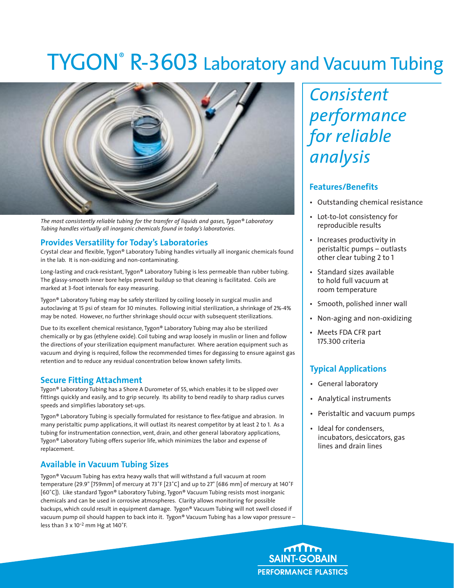# TYGON® R-3603 Laboratory and Vacuum Tubing



*The most consistently reliable tubing for the transfer of liquids and gases, Tygon® Laboratory Tubing handles virtually all inorganic chemicals found in today's laboratories.*

#### **Provides Versatility for Today's Laboratories**

Crystal clear and flexible, Tygon® Laboratory Tubing handles virtually all inorganic chemicals found in the lab. It is non-oxidizing and non-contaminating.

Long-lasting and crack-resistant, Tygon® Laboratory Tubing is less permeable than rubber tubing. The glassy-smooth inner bore helps prevent buildup so that cleaning is facilitated. Coils are marked at 3-foot intervals for easy measuring.

Tygon® Laboratory Tubing may be safely sterilized by coiling loosely in surgical muslin and autoclaving at 15 psi of steam for 30 minutes. Following initial sterilization, a shrinkage of 2%-4% may be noted. However, no further shrinkage should occur with subsequent sterilizations.

Due to its excellent chemical resistance, Tygon® Laboratory Tubing may also be sterilized chemically or by gas (ethylene oxide). Coil tubing and wrap loosely in muslin or linen and follow the directions of your sterilization equipment manufacturer. Where aeration equipment such as vacuum and drying is required, follow the recommended times for degassing to ensure against gas retention and to reduce any residual concentration below known safety limits.

#### **Secure Fitting Attachment**

Tygon® Laboratory Tubing has a Shore A Durometer of 55, which enables it to be slipped over fittings quickly and easily, and to grip securely. Its ability to bend readily to sharp radius curves speeds and simplifies laboratory set-ups.

Tygon® Laboratory Tubing is specially formulated for resistance to flex-fatigue and abrasion. In many peristaltic pump applications, it will outlast its nearest competitor by at least 2 to 1. As a tubing for instrumentation connection, vent, drain, and other general laboratory applications, Tygon® Laboratory Tubing offers superior life, which minimizes the labor and expense of replacement.

### **Available in Vacuum Tubing Sizes**

Tygon® Vacuum Tubing has extra heavy walls that will withstand a full vacuum at room temperature (29.9" [759mm] of mercury at 73˚F [23˚C] and up to 27" [686 mm] of mercury at 140˚F [60˚C]). Like standard Tygon® Laboratory Tubing, Tygon® Vacuum Tubing resists most inorganic chemicals and can be used in corrosive atmospheres. Clarity allows monitoring for possible backups, which could result in equipment damage. Tygon® Vacuum Tubing will not swell closed if vacuum pump oil should happen to back into it. Tygon® Vacuum Tubing has a low vapor pressure – less than <sup>3</sup> <sup>x</sup>10-2 mm Hg at <sup>140</sup>˚F.

*Consistent performance for reliable analysis*

#### **Features/Benefits**

- Outstanding chemical resistance
- Lot-to-lot consistency for reproducible results
- Increases productivity in peristaltic pumps – outlasts other clear tubing 2 to 1
- Standard sizes available to hold full vacuum at room temperature
- Smooth, polished inner wall
- Non-aging and non-oxidizing
- Meets FDA CFR part 175.300 criteria

## **Typical Applications**

- General laboratory
- Analytical instruments
- Peristaltic and vacuum pumps
- Ideal for condensers, incubators, desiccators, gas lines and drain lines

**SAINT-GOBAIN PERFORMANCE PLASTICS**